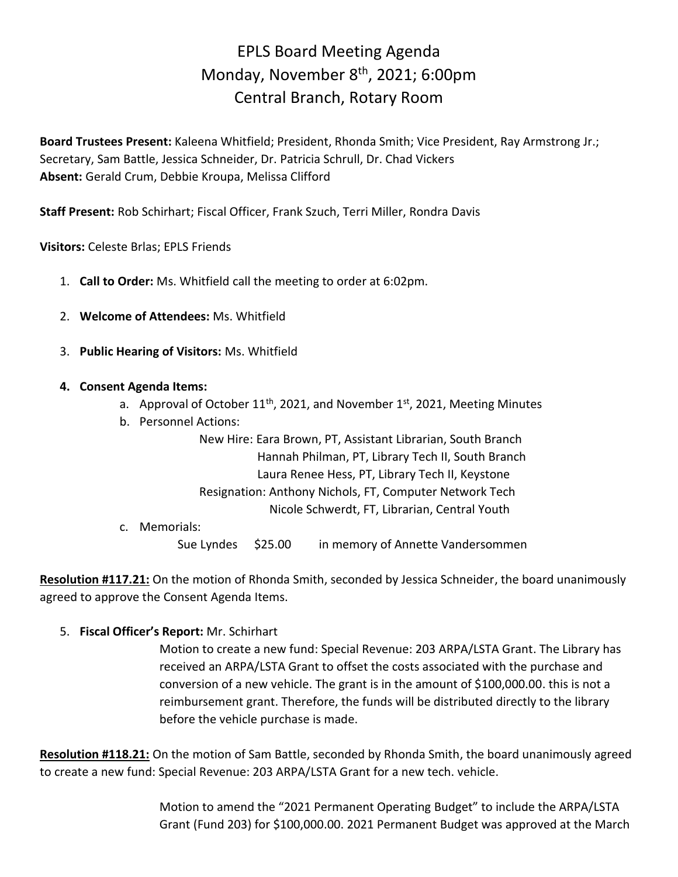## EPLS Board Meeting Agenda Monday, November 8<sup>th</sup>, 2021; 6:00pm Central Branch, Rotary Room

**Board Trustees Present:** Kaleena Whitfield; President, Rhonda Smith; Vice President, Ray Armstrong Jr.; Secretary, Sam Battle, Jessica Schneider, Dr. Patricia Schrull, Dr. Chad Vickers **Absent:** Gerald Crum, Debbie Kroupa, Melissa Clifford

**Staff Present:** Rob Schirhart; Fiscal Officer, Frank Szuch, Terri Miller, Rondra Davis

**Visitors:** Celeste Brlas; EPLS Friends

- 1. **Call to Order:** Ms. Whitfield call the meeting to order at 6:02pm.
- 2. **Welcome of Attendees:** Ms. Whitfield
- 3. **Public Hearing of Visitors:** Ms. Whitfield
- **4. Consent Agenda Items:**
	- a. Approval of October 11<sup>th</sup>, 2021, and November 1st, 2021, Meeting Minutes
	- b. Personnel Actions:

New Hire: Eara Brown, PT, Assistant Librarian, South Branch Hannah Philman, PT, Library Tech II, South Branch Laura Renee Hess, PT, Library Tech II, Keystone Resignation: Anthony Nichols, FT, Computer Network Tech

Nicole Schwerdt, FT, Librarian, Central Youth

c. Memorials:

Sue Lyndes \$25.00 in memory of Annette Vandersommen

**Resolution #117.21:** On the motion of Rhonda Smith, seconded by Jessica Schneider, the board unanimously agreed to approve the Consent Agenda Items.

5. **Fiscal Officer's Report:** Mr. Schirhart

Motion to create a new fund: Special Revenue: 203 ARPA/LSTA Grant. The Library has received an ARPA/LSTA Grant to offset the costs associated with the purchase and conversion of a new vehicle. The grant is in the amount of \$100,000.00. this is not a reimbursement grant. Therefore, the funds will be distributed directly to the library before the vehicle purchase is made.

**Resolution #118.21:** On the motion of Sam Battle, seconded by Rhonda Smith, the board unanimously agreed to create a new fund: Special Revenue: 203 ARPA/LSTA Grant for a new tech. vehicle.

> Motion to amend the "2021 Permanent Operating Budget" to include the ARPA/LSTA Grant (Fund 203) for \$100,000.00. 2021 Permanent Budget was approved at the March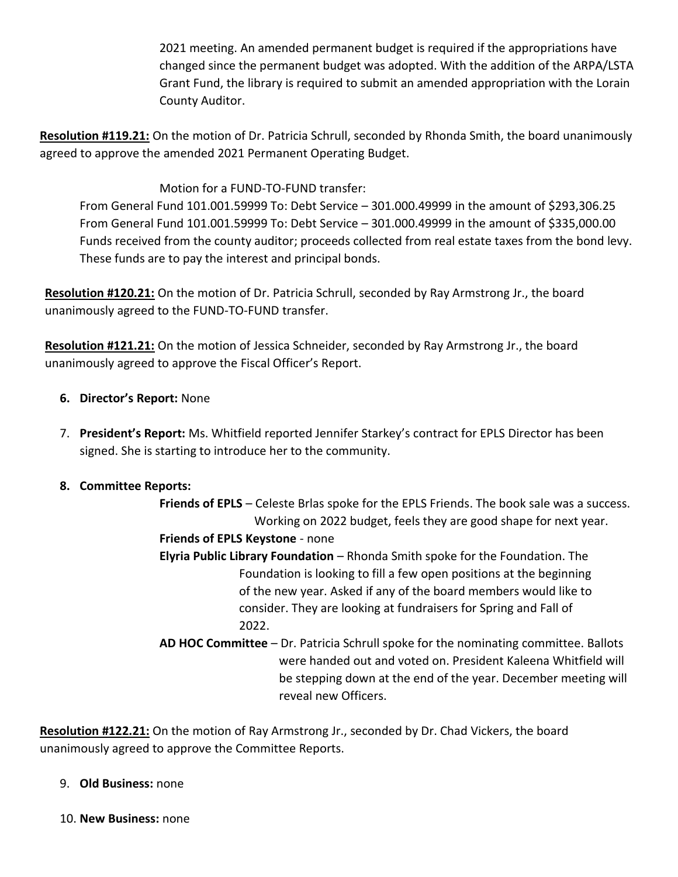2021 meeting. An amended permanent budget is required if the appropriations have changed since the permanent budget was adopted. With the addition of the ARPA/LSTA Grant Fund, the library is required to submit an amended appropriation with the Lorain County Auditor.

**Resolution #119.21:** On the motion of Dr. Patricia Schrull, seconded by Rhonda Smith, the board unanimously agreed to approve the amended 2021 Permanent Operating Budget.

Motion for a FUND-TO-FUND transfer:

From General Fund 101.001.59999 To: Debt Service – 301.000.49999 in the amount of \$293,306.25 From General Fund 101.001.59999 To: Debt Service – 301.000.49999 in the amount of \$335,000.00 Funds received from the county auditor; proceeds collected from real estate taxes from the bond levy. These funds are to pay the interest and principal bonds.

**Resolution #120.21:** On the motion of Dr. Patricia Schrull, seconded by Ray Armstrong Jr., the board unanimously agreed to the FUND-TO-FUND transfer.

**Resolution #121.21:** On the motion of Jessica Schneider, seconded by Ray Armstrong Jr., the board unanimously agreed to approve the Fiscal Officer's Report.

- **6. Director's Report:** None
- 7. **President's Report:** Ms. Whitfield reported Jennifer Starkey's contract for EPLS Director has been signed. She is starting to introduce her to the community.

## **8. Committee Reports:**

**Friends of EPLS** – Celeste Brlas spoke for the EPLS Friends. The book sale was a success. Working on 2022 budget, feels they are good shape for next year.

- **Friends of EPLS Keystone** none
- **Elyria Public Library Foundation** Rhonda Smith spoke for the Foundation. The Foundation is looking to fill a few open positions at the beginning of the new year. Asked if any of the board members would like to consider. They are looking at fundraisers for Spring and Fall of 2022.
- **AD HOC Committee** Dr. Patricia Schrull spoke for the nominating committee. Ballots were handed out and voted on. President Kaleena Whitfield will be stepping down at the end of the year. December meeting will reveal new Officers.

**Resolution #122.21:** On the motion of Ray Armstrong Jr., seconded by Dr. Chad Vickers, the board unanimously agreed to approve the Committee Reports.

- 9. **Old Business:** none
- 10. **New Business:** none